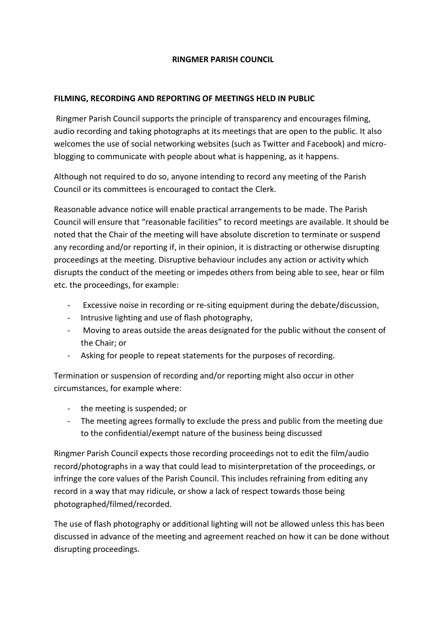## **RINGMER PARISH COUNCIL**

## **FILMING, RECORDING AND REPORTING OF MEETINGS HELD IN PUBLIC**

Ringmer Parish Council supports the principle of transparency and encourages filming, audio recording and taking photographs at its meetings that are open to the public. It also welcomes the use of social networking websites (such as Twitter and Facebook) and microblogging to communicate with people about what is happening, as it happens.

Although not required to do so, anyone intending to record any meeting of the Parish Council or its committees is encouraged to contact the Clerk.

Reasonable advance notice will enable practical arrangements to be made. The Parish Council will ensure that "reasonable facilities" to record meetings are available. It should be noted that the Chair of the meeting will have absolute discretion to terminate or suspend any recording and/or reporting if, in their opinion, it is distracting or otherwise disrupting proceedings at the meeting. Disruptive behaviour includes any action or activity which disrupts the conduct of the meeting or impedes others from being able to see, hear or film etc. the proceedings, for example:

- Excessive noise in recording or re-siting equipment during the debate/discussion,
- Intrusive lighting and use of flash photography,
- Moving to areas outside the areas designated for the public without the consent of the Chair; or
- Asking for people to repeat statements for the purposes of recording.

Termination or suspension of recording and/or reporting might also occur in other circumstances, for example where:

- the meeting is suspended; or
- The meeting agrees formally to exclude the press and public from the meeting due to the confidential/exempt nature of the business being discussed

Ringmer Parish Council expects those recording proceedings not to edit the film/audio record/photographs in a way that could lead to misinterpretation of the proceedings, or infringe the core values of the Parish Council. This includes refraining from editing any record in a way that may ridicule, or show a lack of respect towards those being photographed/filmed/recorded.

The use of flash photography or additional lighting will not be allowed unless this has been discussed in advance of the meeting and agreement reached on how it can be done without disrupting proceedings.